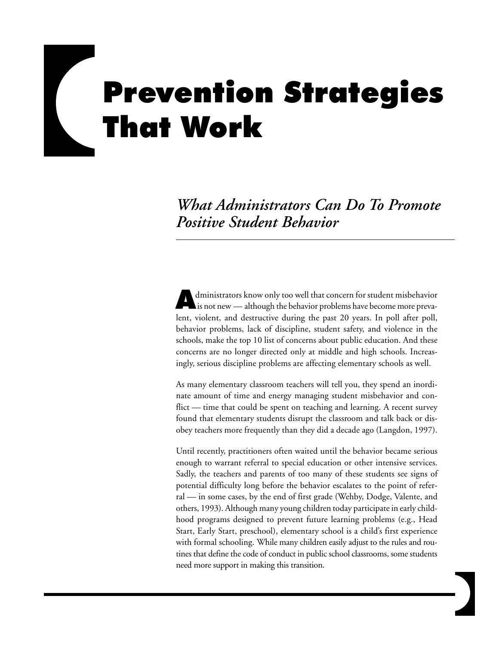# **Prevention Strategies** That Work

*What Administrators Can Do To Promote Positive Student Behavior*

dministrators know only too well that concern for student misbehavior is not new — although the behavior problems have become more prevalent, violent, and destructive during the past 20 years. In poll after poll, behavior problems, lack of discipline, student safety, and violence in the schools, make the top 10 list of concerns about public education. And these concerns are no longer directed only at middle and high schools. Increasingly, serious discipline problems are affecting elementary schools as well.

As many elementary classroom teachers will tell you, they spend an inordinate amount of time and energy managing student misbehavior and conflict — time that could be spent on teaching and learning. A recent survey found that elementary students disrupt the classroom and talk back or disobey teachers more frequently than they did a decade ago (Langdon, 1997).

Until recently, practitioners often waited until the behavior became serious enough to warrant referral to special education or other intensive services. Sadly, the teachers and parents of too many of these students see signs of potential difficulty long before the behavior escalates to the point of referral — in some cases, by the end of first grade (Wehby, Dodge, Valente, and others, 1993). Although many young children today participate in early childhood programs designed to prevent future learning problems (e.g., Head Start, Early Start, preschool), elementary school is a child's first experience with formal schooling. While many children easily adjust to the rules and routines that define the code of conduct in public school classrooms, some students need more support in making this transition.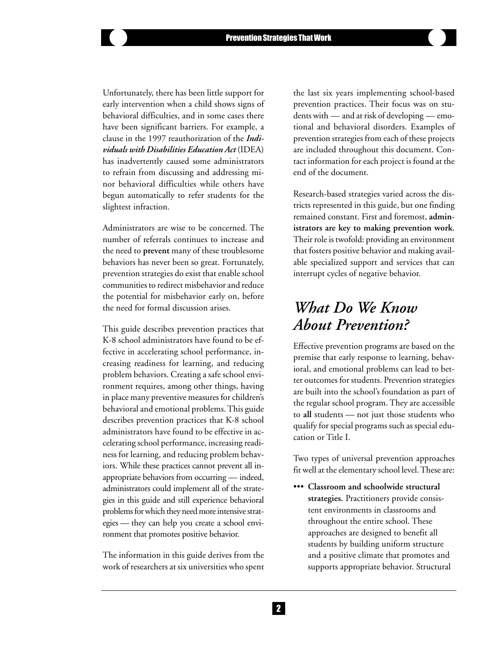Unfortunately, there has been little support for early intervention when a child shows signs of behavioral difficulties, and in some cases there have been significant barriers. For example, a clause in the 1997 reauthorization of the *Individuals with Disabilities Education Act* (IDEA) has inadvertently caused some administrators to refrain from discussing and addressing minor behavioral difficulties while others have begun automatically to refer students for the slightest infraction.

Administrators are wise to be concerned. The number of referrals continues to increase and the need to **prevent** many of these troublesome behaviors has never been so great. Fortunately, prevention strategies do exist that enable school communities to redirect misbehavior and reduce the potential for misbehavior early on, before the need for formal discussion arises.

This guide describes prevention practices that K-8 school administrators have found to be effective in accelerating school performance, increasing readiness for learning, and reducing problem behaviors. Creating a safe school environment requires, among other things, having in place many preventive measures for children's behavioral and emotional problems. This guide describes prevention practices that K-8 school administrators have found to be effective in accelerating school performance, increasing readiness for learning, and reducing problem behaviors. While these practices cannot prevent all inappropriate behaviors from occurring — indeed, administrators could implement all of the strategies in this guide and still experience behavioral problems for which they need more intensive strategies — they can help you create a school environment that promotes positive behavior.

The information in this guide derives from the work of researchers at six universities who spent

the last six years implementing school-based prevention practices. Their focus was on students with — and at risk of developing — emotional and behavioral disorders. Examples of prevention strategies from each of these projects are included throughout this document. Contact information for each project is found at the end of the document.

Research-based strategies varied across the districts represented in this guide, but one finding remained constant. First and foremost, **administrators are key to making prevention work**. Their role is twofold: providing an environment that fosters positive behavior and making available specialized support and services that can interrupt cycles of negative behavior.

# *What Do We Know About Prevention?*

Effective prevention programs are based on the premise that early response to learning, behavioral, and emotional problems can lead to better outcomes for students. Prevention strategies are built into the school's foundation as part of the regular school program. They are accessible to **all** students — not just those students who qualify for special programs such as special education or Title I.

Two types of universal prevention approaches fit well at the elementary school level. These are:

••• **Classroom and schoolwide structural strategies.** Practitioners provide consistent environments in classrooms and throughout the entire school. These approaches are designed to benefit all students by building uniform structure and a positive climate that promotes and supports appropriate behavior. Structural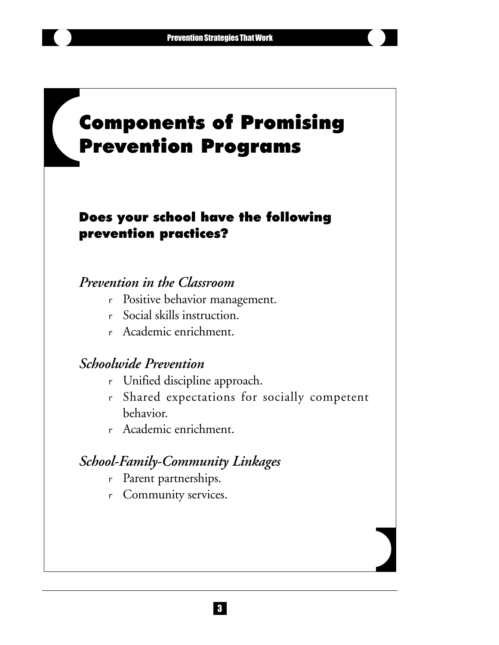# *SIDEBAR TEXT: ACTIVITIES FOR TIMELINE* **Components of Promising Prevention Programs**

# Does your school have the following prevention practices?

# *Prevention in the Classroom*

- <sup>r</sup> Positive behavior management.
- <sup>r</sup> Social skills instruction.
- <sup>r</sup> Academic enrichment.

# *Schoolwide Prevention*

- <sup>r</sup> Unified discipline approach.
- <sup>r</sup> Shared expectations for socially competent behavior.
- <sup>r</sup> Academic enrichment.

# *School-Family-Community Linkages*

- <sup>r</sup> Parent partnerships.
- <sup>r</sup> Community services.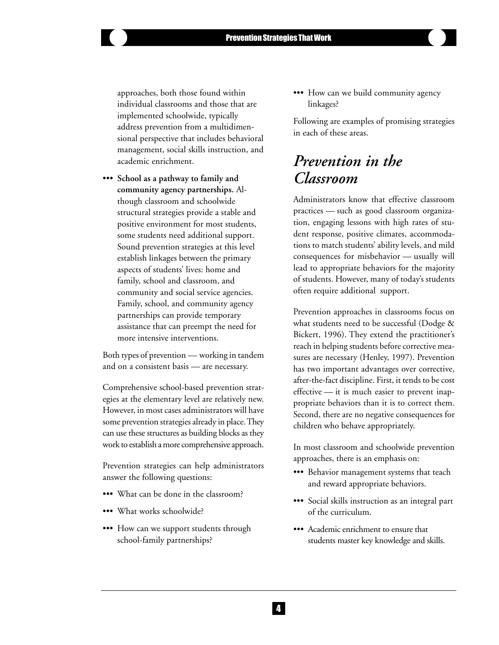approaches, both those found within individual classrooms and those that are implemented schoolwide, typically address prevention from a multidimensional perspective that includes behavioral management, social skills instruction, and academic enrichment.

••• **School as a pathway to family and community agency partnerships.** Although classroom and schoolwide structural strategies provide a stable and positive environment for most students, some students need additional support. Sound prevention strategies at this level establish linkages between the primary aspects of students' lives: home and family, school and classroom, and community and social service agencies. Family, school, and community agency partnerships can provide temporary assistance that can preempt the need for more intensive interventions.

Both types of prevention — working in tandem and on a consistent basis — are necessary.

Comprehensive school-based prevention strategies at the elementary level are relatively new. However, in most cases administrators will have some prevention strategies already in place. They can use these structures as building blocks as they work to establish a more comprehensive approach.

Prevention strategies can help administrators answer the following questions:

- ••• What can be done in the classroom?
- ••• What works schoolwide?
- ••• How can we support students through school-family partnerships?

••• How can we build community agency linkages?

Following are examples of promising strategies in each of these areas.

# *Prevention in the Classroom*

Administrators know that effective classroom practices — such as good classroom organization, engaging lessons with high rates of student response, positive climates, accommodations to match students' ability levels, and mild consequences for misbehavior — usually will lead to appropriate behaviors for the majority of students. However, many of today's students often require additional support.

Prevention approaches in classrooms focus on what students need to be successful (Dodge & Bickert, 1996). They extend the practitioner's reach in helping students before corrective measures are necessary (Henley, 1997). Prevention has two important advantages over corrective, after-the-fact discipline. First, it tends to be cost effective — it is much easier to prevent inappropriate behaviors than it is to correct them. Second, there are no negative consequences for children who behave appropriately.

In most classroom and schoolwide prevention approaches, there is an emphasis on:

- ••• Behavior management systems that teach and reward appropriate behaviors.
- ••• Social skills instruction as an integral part of the curriculum.
- ••• Academic enrichment to ensure that students master key knowledge and skills.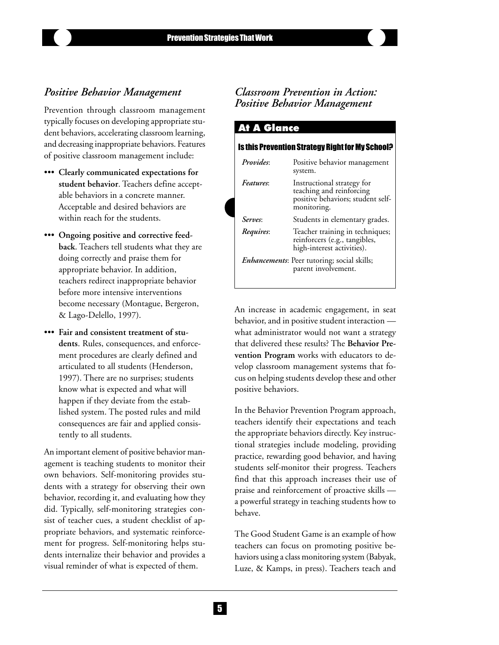### *Positive Behavior Management*

Prevention through classroom management typically focuses on developing appropriate student behaviors, accelerating classroom learning, and decreasing inappropriate behaviors. Features of positive classroom management include:

- ••• **Clearly communicated expectations for student behavior**. Teachers define acceptable behaviors in a concrete manner. Acceptable and desired behaviors are within reach for the students.
- ••• **Ongoing positive and corrective feedback**. Teachers tell students what they are doing correctly and praise them for appropriate behavior. In addition, teachers redirect inappropriate behavior before more intensive interventions become necessary (Montague, Bergeron, & Lago-Delello, 1997).
- ••• **Fair and consistent treatment of students**. Rules, consequences, and enforcement procedures are clearly defined and articulated to all students (Henderson, 1997). There are no surprises; students know what is expected and what will happen if they deviate from the established system. The posted rules and mild consequences are fair and applied consistently to all students.

An important element of positive behavior management is teaching students to monitor their own behaviors. Self-monitoring provides students with a strategy for observing their own behavior, recording it, and evaluating how they did. Typically, self-monitoring strategies consist of teacher cues, a student checklist of appropriate behaviors, and systematic reinforcement for progress. Self-monitoring helps students internalize their behavior and provides a visual reminder of what is expected of them.

# *Classroom Prevention in Action: Positive Behavior Management*

| <b>At A Glance</b> | Is this Prevention Strategy Right for My School?                                                           |
|--------------------|------------------------------------------------------------------------------------------------------------|
| <i>Provides:</i>   | Positive behavior management<br>system.                                                                    |
| <i>Features</i> :  | Instructional strategy for<br>teaching and reinforcing<br>positive behaviors; student self-<br>monitoring. |
| Serves:            | Students in elementary grades.                                                                             |
| Requires:          | Teacher training in techniques;<br>reinforcers (e.g., tangibles,<br>high-interest activities).             |
|                    | <i>Enhancements</i> : Peer tutoring; social skills;<br>parent involvement.                                 |

An increase in academic engagement, in seat behavior, and in positive student interaction what administrator would not want a strategy that delivered these results? The **Behavior Prevention Program** works with educators to develop classroom management systems that focus on helping students develop these and other positive behaviors.

In the Behavior Prevention Program approach, teachers identify their expectations and teach the appropriate behaviors directly. Key instructional strategies include modeling, providing practice, rewarding good behavior, and having students self-monitor their progress. Teachers find that this approach increases their use of praise and reinforcement of proactive skills a powerful strategy in teaching students how to behave.

The Good Student Game is an example of how teachers can focus on promoting positive behaviors using a class monitoring system (Babyak, Luze, & Kamps, in press). Teachers teach and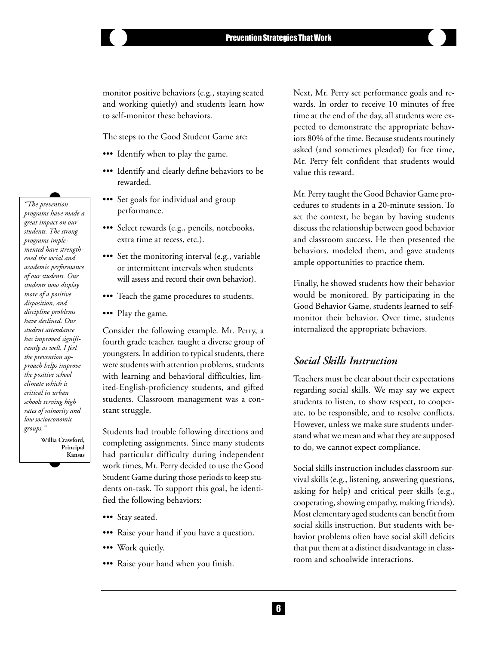monitor positive behaviors (e.g., staying seated and working quietly) and students learn how to self-monitor these behaviors.

The steps to the Good Student Game are:

- ••• Identify when to play the game.
- ••• Identify and clearly define behaviors to be rewarded.
- ••• Set goals for individual and group performance.
- ••• Select rewards (e.g., pencils, notebooks, extra time at recess, etc.).
- ••• Set the monitoring interval (e.g., variable or intermittent intervals when students will assess and record their own behavior).
- ••• Teach the game procedures to students.
- ••• Play the game.

Consider the following example. Mr. Perry, a fourth grade teacher, taught a diverse group of youngsters. In addition to typical students, there were students with attention problems, students with learning and behavioral difficulties, limited-English-proficiency students, and gifted students. Classroom management was a constant struggle.

Students had trouble following directions and completing assignments. Since many students had particular difficulty during independent work times, Mr. Perry decided to use the Good Student Game during those periods to keep students on-task. To support this goal, he identified the following behaviors:

- ••• Stay seated.
- ••• Raise your hand if you have a question.
- ••• Work quietly.
- ••• Raise your hand when you finish.

Next, Mr. Perry set performance goals and rewards. In order to receive 10 minutes of free time at the end of the day, all students were expected to demonstrate the appropriate behaviors 80% of the time. Because students routinely asked (and sometimes pleaded) for free time, Mr. Perry felt confident that students would value this reward.

Mr. Perry taught the Good Behavior Game procedures to students in a 20-minute session. To set the context, he began by having students discuss the relationship between good behavior and classroom success. He then presented the behaviors, modeled them, and gave students ample opportunities to practice them.

Finally, he showed students how their behavior would be monitored. By participating in the Good Behavior Game, students learned to selfmonitor their behavior. Over time, students internalized the appropriate behaviors.

### *Social Skills Instruction*

Teachers must be clear about their expectations regarding social skills. We may say we expect students to listen, to show respect, to cooperate, to be responsible, and to resolve conflicts. However, unless we make sure students understand what we mean and what they are supposed to do, we cannot expect compliance.

Social skills instruction includes classroom survival skills (e.g., listening, answering questions, asking for help) and critical peer skills (e.g., cooperating, showing empathy, making friends). Most elementary aged students can benefit from social skills instruction. But students with behavior problems often have social skill deficits that put them at a distinct disadvantage in classroom and schoolwide interactions.

*"The prevention programs have made a great impact on our students. The strong programs implemented have strengthened the social and academic performance of our students. Our students now display more of a positive disposition, and discipline problems have declined. Our student attendance has improved significantly as well. I feel the prevention approach helps improve the positive school climate which is critical in urban schools serving high rates of minority and low socioeconomic groups."* **Willia Crawford, Principal**

 **Kansas**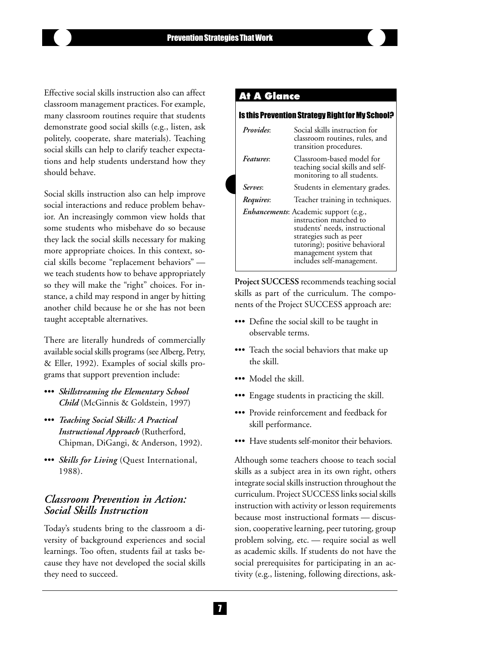### Effective social skills instruction also can affect classroom management practices. For example, many classroom routines require that students demonstrate good social skills (e.g., listen, ask politely, cooperate, share materials). Teaching social skills can help to clarify teacher expectations and help students understand how they should behave.

Social skills instruction also can help improve social interactions and reduce problem behavior. An increasingly common view holds that some students who misbehave do so because they lack the social skills necessary for making more appropriate choices. In this context, social skills become "replacement behaviors" we teach students how to behave appropriately so they will make the "right" choices. For instance, a child may respond in anger by hitting another child because he or she has not been taught acceptable alternatives.

There are literally hundreds of commercially available social skills programs (see Alberg, Petry, & Eller, 1992). Examples of social skills programs that support prevention include:

- ••• *Skillstreaming the Elementary School Child* (McGinnis & Goldstein, 1997)
- ••• *Teaching Social Skills: A Practical Instructional Approach* (Rutherford, Chipman, DiGangi, & Anderson, 1992).
- ••• *Skills for Living* (Quest International, 1988).

# *Classroom Prevention in Action: Social Skills Instruction*

Today's students bring to the classroom a diversity of background experiences and social learnings. Too often, students fail at tasks because they have not developed the social skills they need to succeed.

# At A Glance

|                  | Is this Prevention Strategy Right for My School?                                                                                                                                                                      |
|------------------|-----------------------------------------------------------------------------------------------------------------------------------------------------------------------------------------------------------------------|
| <i>Provides:</i> | Social skills instruction for<br>classroom routines, rules, and<br>transition procedures.                                                                                                                             |
| <i>Features:</i> | Classroom-based model for<br>teaching social skills and self-<br>monitoring to all students.                                                                                                                          |
| <i>Serves:</i>   | Students in elementary grades.                                                                                                                                                                                        |
| Requires:        | Teacher training in techniques.                                                                                                                                                                                       |
|                  | Enhancements: Academic support (e.g.,<br>instruction matched to<br>students' needs, instructional<br>strategies such as peer<br>tutoring); positive behavioral<br>management system that<br>includes self-management. |

**Project SUCCESS** recommends teaching social skills as part of the curriculum. The components of the Project SUCCESS approach are:

- ••• Define the social skill to be taught in observable terms.
- ••• Teach the social behaviors that make up the skill.
- ••• Model the skill.
- ••• Engage students in practicing the skill.
- ••• Provide reinforcement and feedback for skill performance.
- ••• Have students self-monitor their behaviors.

Although some teachers choose to teach social skills as a subject area in its own right, others integrate social skills instruction throughout the curriculum. Project SUCCESS links social skills instruction with activity or lesson requirements because most instructional formats — discussion, cooperative learning, peer tutoring, group problem solving, etc. — require social as well as academic skills. If students do not have the social prerequisites for participating in an activity (e.g., listening, following directions, ask-

 $\mathbf{L}$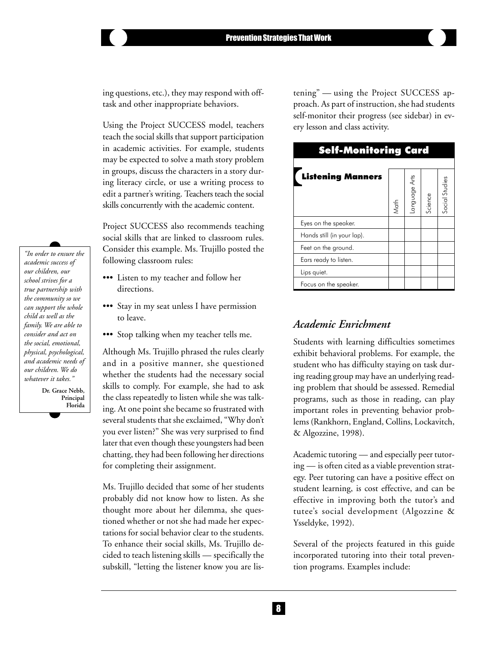ing questions, etc.), they may respond with offtask and other inappropriate behaviors.

Using the Project SUCCESS model, teachers teach the social skills that support participation in academic activities. For example, students may be expected to solve a math story problem in groups, discuss the characters in a story during literacy circle, or use a writing process to edit a partner's writing. Teachers teach the social skills concurrently with the academic content.

Project SUCCESS also recommends teaching social skills that are linked to classroom rules. Consider this example. Ms. Trujillo posted the following classroom rules:

- ••• Listen to my teacher and follow her directions.
- ••• Stay in my seat unless I have permission to leave.
- ••• Stop talking when my teacher tells me.

Although Ms. Trujillo phrased the rules clearly and in a positive manner, she questioned whether the students had the necessary social skills to comply. For example, she had to ask the class repeatedly to listen while she was talking. At one point she became so frustrated with several students that she exclaimed, "Why don't you ever listen?" She was very surprised to find later that even though these youngsters had been chatting, they had been following her directions for completing their assignment.

Ms. Trujillo decided that some of her students probably did not know how to listen. As she thought more about her dilemma, she questioned whether or not she had made her expectations for social behavior clear to the students. To enhance their social skills, Ms. Trujillo decided to teach listening skills — specifically the subskill, "letting the listener know you are lis-

tening" — using the Project SUCCESS approach. As part of instruction, she had students self-monitor their progress (see sidebar) in every lesson and class activity.



# *Academic Enrichment*

Students with learning difficulties sometimes exhibit behavioral problems. For example, the student who has difficulty staying on task during reading group may have an underlying reading problem that should be assessed. Remedial programs, such as those in reading, can play important roles in preventing behavior problems (Rankhorn, England, Collins, Lockavitch, & Algozzine, 1998).

Academic tutoring — and especially peer tutoring — is often cited as a viable prevention strategy. Peer tutoring can have a positive effect on student learning, is cost effective, and can be effective in improving both the tutor's and tutee's social development (Algozzine & Ysseldyke, 1992).

Several of the projects featured in this guide incorporated tutoring into their total prevention programs. Examples include:

*"In order to ensure the academic success of our children, our school strives for a true partnership with the community so we can support the whole child as well as the family. We are able to consider and act on the social, emotional, physical, psychological, and academic needs of our children. We do whatever it takes."*

> **Dr. Grace Nebb, Principal Florida**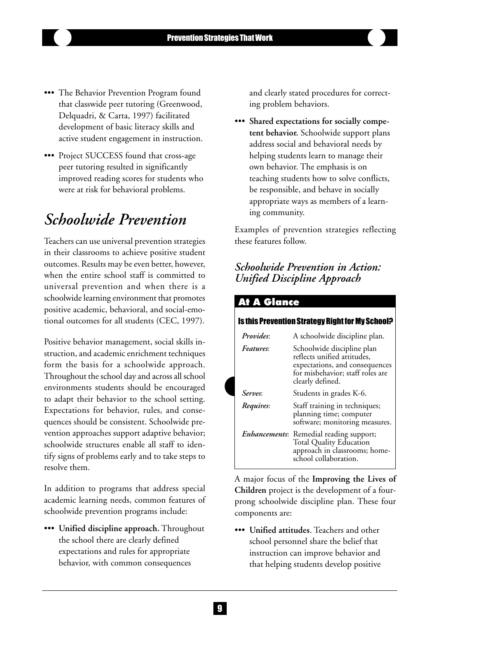- ••• The Behavior Prevention Program found that classwide peer tutoring (Greenwood, Delquadri, & Carta, 1997) facilitated development of basic literacy skills and active student engagement in instruction.
- ••• Project SUCCESS found that cross-age peer tutoring resulted in significantly improved reading scores for students who were at risk for behavioral problems.

# *Schoolwide Prevention*

Teachers can use universal prevention strategies in their classrooms to achieve positive student outcomes. Results may be even better, however, when the entire school staff is committed to universal prevention and when there is a schoolwide learning environment that promotes positive academic, behavioral, and social-emotional outcomes for all students (CEC, 1997).

Positive behavior management, social skills instruction, and academic enrichment techniques form the basis for a schoolwide approach. Throughout the school day and across all school environments students should be encouraged to adapt their behavior to the school setting. Expectations for behavior, rules, and consequences should be consistent. Schoolwide prevention approaches support adaptive behavior; schoolwide structures enable all staff to identify signs of problems early and to take steps to resolve them.

In addition to programs that address special academic learning needs, common features of schoolwide prevention programs include:

••• **Unified discipline approach.** Throughout the school there are clearly defined expectations and rules for appropriate behavior, with common consequences

and clearly stated procedures for correcting problem behaviors.

••• **Shared expectations for socially competent behavior.** Schoolwide support plans address social and behavioral needs by helping students learn to manage their own behavior. The emphasis is on teaching students how to solve conflicts, be responsible, and behave in socially appropriate ways as members of a learning community.

Examples of prevention strategies reflecting these features follow.

# *Schoolwide Prevention in Action: Unified Discipline Approach*

| At A Glance          |                                                                                                                                                     |
|----------------------|-----------------------------------------------------------------------------------------------------------------------------------------------------|
|                      | Is this Prevention Strategy Right for My School?                                                                                                    |
| <i>Provides:</i>     | A schoolwide discipline plan.                                                                                                                       |
| <i>Features</i> :    | Schoolwide discipline plan<br>reflects unified attitudes,<br>expectations, and consequences<br>for misbehavior; staff roles are<br>clearly defined. |
| Serves:              | Students in grades K-6.                                                                                                                             |
| Requires:            | Staff training in techniques;<br>planning time; computer<br>software; monitoring measures.                                                          |
| <b>Enhancements:</b> | Remedial reading support;<br><b>Total Quality Education</b><br>approach in classrooms; home-<br>school collaboration.                               |

A major focus of the **Improving the Lives of Children** project is the development of a fourprong schoolwide discipline plan. These four components are:

••• **Unified attitudes**. Teachers and other school personnel share the belief that instruction can improve behavior and that helping students develop positive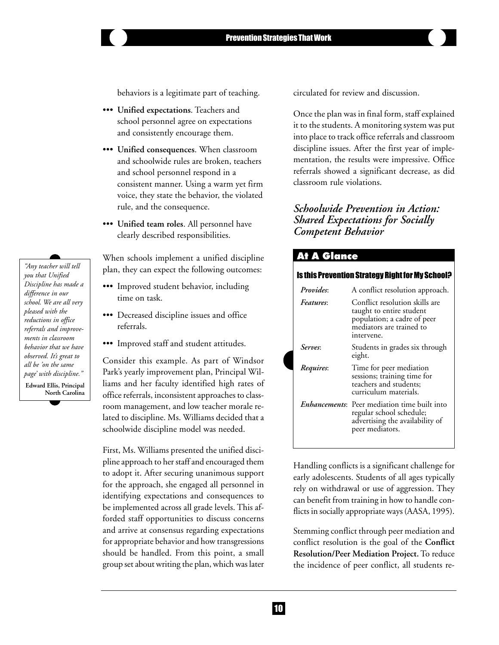behaviors is a legitimate part of teaching.

- ••• **Unified expectations**. Teachers and school personnel agree on expectations and consistently encourage them.
- ••• **Unified consequences**. When classroom and schoolwide rules are broken, teachers and school personnel respond in a consistent manner. Using a warm yet firm voice, they state the behavior, the violated rule, and the consequence.
- ••• **Unified team roles**. All personnel have clearly described responsibilities.

When schools implement a unified discipline plan, they can expect the following outcomes:

- ••• Improved student behavior, including time on task.
- ••• Decreased discipline issues and office referrals.
- ••• Improved staff and student attitudes.

Consider this example. As part of Windsor Park's yearly improvement plan, Principal Williams and her faculty identified high rates of office referrals, inconsistent approaches to classroom management, and low teacher morale related to discipline. Ms. Williams decided that a schoolwide discipline model was needed.

First, Ms. Williams presented the unified discipline approach to her staff and encouraged them to adopt it. After securing unanimous support for the approach, she engaged all personnel in identifying expectations and consequences to be implemented across all grade levels. This afforded staff opportunities to discuss concerns and arrive at consensus regarding expectations for appropriate behavior and how transgressions should be handled. From this point, a small group set about writing the plan, which was later circulated for review and discussion.

Once the plan was in final form, staff explained it to the students. A monitoring system was put into place to track office referrals and classroom discipline issues. After the first year of implementation, the results were impressive. Office referrals showed a significant decrease, as did classroom rule violations.

### *Schoolwide Prevention in Action: Shared Expectations for Socially Competent Behavior*

### **At A Glance**

#### Is this Prevention Strategy Right for My School?

| <i>Provides:</i> | A conflict resolution approach.                                                                                                        |  |  |  |
|------------------|----------------------------------------------------------------------------------------------------------------------------------------|--|--|--|
| <i>Features:</i> | Conflict resolution skills are<br>taught to entire student<br>population; a cadre of peer<br>mediators are trained to<br>intervene.    |  |  |  |
| Serves:          | Students in grades six through<br>eight.                                                                                               |  |  |  |
| Requires:        | Time for peer mediation<br>sessions; training time for<br>teachers and students;<br>curriculum materials.                              |  |  |  |
|                  | <i>Enbancements</i> : Peer mediation time built into<br>regular school schedule;<br>advertising the availability of<br>peer mediators. |  |  |  |

Handling conflicts is a significant challenge for early adolescents. Students of all ages typically rely on withdrawal or use of aggression. They can benefit from training in how to handle conflicts in socially appropriate ways (AASA, 1995).

Stemming conflict through peer mediation and conflict resolution is the goal of the **Conflict Resolution/Peer Mediation Project.** To reduce the incidence of peer conflict, all students re-

*"Any teacher will tell you that Unified Discipline has made a difference in our school. We are all very pleased with the reductions in office referrals and improvements in classroom behavior that we have observed. It's great to all be 'on the same page' with discipline."*

**Edward Ellis, Principal North Carolina**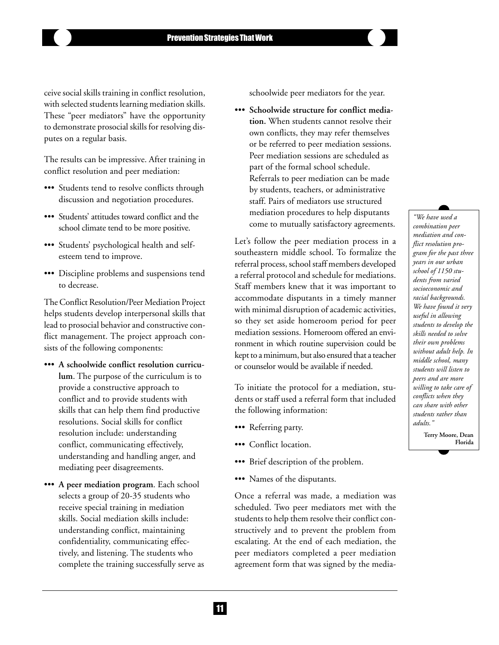ceive social skills training in conflict resolution, with selected students learning mediation skills. These "peer mediators" have the opportunity to demonstrate prosocial skills for resolving disputes on a regular basis.

The results can be impressive. After training in conflict resolution and peer mediation:

- ••• Students tend to resolve conflicts through discussion and negotiation procedures.
- ••• Students' attitudes toward conflict and the school climate tend to be more positive.
- ••• Students' psychological health and selfesteem tend to improve.
- ••• Discipline problems and suspensions tend to decrease.

The Conflict Resolution/Peer Mediation Project helps students develop interpersonal skills that lead to prosocial behavior and constructive conflict management. The project approach consists of the following components:

- ••• **A schoolwide conflict resolution curriculum**. The purpose of the curriculum is to provide a constructive approach to conflict and to provide students with skills that can help them find productive resolutions. Social skills for conflict resolution include: understanding conflict, communicating effectively, understanding and handling anger, and mediating peer disagreements.
- ••• **A peer mediation program**. Each school selects a group of 20-35 students who receive special training in mediation skills. Social mediation skills include: understanding conflict, maintaining confidentiality, communicating effectively, and listening. The students who complete the training successfully serve as

schoolwide peer mediators for the year.

••• **Schoolwide structure for conflict mediation.** When students cannot resolve their own conflicts, they may refer themselves or be referred to peer mediation sessions. Peer mediation sessions are scheduled as part of the formal school schedule. Referrals to peer mediation can be made by students, teachers, or administrative staff. Pairs of mediators use structured mediation procedures to help disputants come to mutually satisfactory agreements.

Let's follow the peer mediation process in a southeastern middle school. To formalize the referral process, school staff members developed a referral protocol and schedule for mediations. Staff members knew that it was important to accommodate disputants in a timely manner with minimal disruption of academic activities, so they set aside homeroom period for peer mediation sessions. Homeroom offered an environment in which routine supervision could be kept to a minimum, but also ensured that a teacher or counselor would be available if needed.

To initiate the protocol for a mediation, students or staff used a referral form that included the following information:

- ••• Referring party.
- ••• Conflict location.
- ••• Brief description of the problem.
- ••• Names of the disputants.

Once a referral was made, a mediation was scheduled. Two peer mediators met with the students to help them resolve their conflict constructively and to prevent the problem from escalating. At the end of each mediation, the peer mediators completed a peer mediation agreement form that was signed by the media-

*"We have used a combination peer mediation and conflict resolution program for the past three years in our urban school of 1150 students from varied socioeconomic and racial backgrounds. We have found it very useful in allowing students to develop the skills needed to solve their own problems without adult help. In middle school, many students will listen to peers and are more willing to take care of conflicts when they can share with other students rather than adults."*

> **Terry Moore, Dean Florida**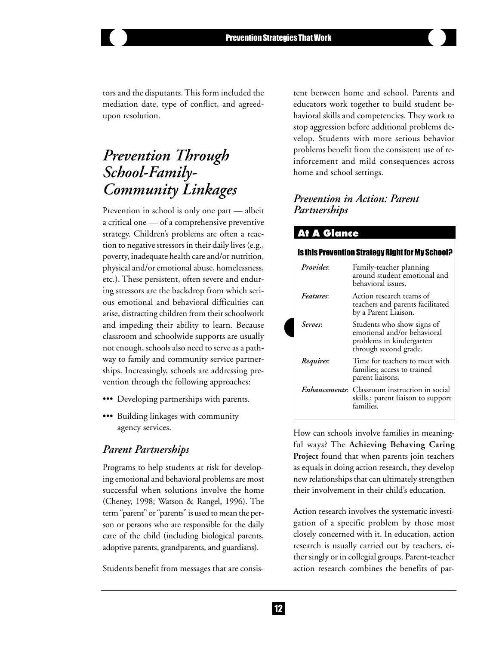tors and the disputants. This form included the mediation date, type of conflict, and agreedupon resolution.

# *Prevention Through School-Family-Community Linkages*

Prevention in school is only one part — albeit a critical one — of a comprehensive preventive strategy. Children's problems are often a reaction to negative stressors in their daily lives (e.g., poverty, inadequate health care and/or nutrition, physical and/or emotional abuse, homelessness, etc.). These persistent, often severe and enduring stressors are the backdrop from which serious emotional and behavioral difficulties can arise, distracting children from their schoolwork and impeding their ability to learn. Because classroom and schoolwide supports are usually not enough, schools also need to serve as a pathway to family and community service partnerships. Increasingly, schools are addressing prevention through the following approaches:

- ••• Developing partnerships with parents.
- ••• Building linkages with community agency services.

### *Parent Partnerships*

Programs to help students at risk for developing emotional and behavioral problems are most successful when solutions involve the home (Cheney, 1998; Watson & Rangel, 1996). The term "parent" or "parents" is used to mean the person or persons who are responsible for the daily care of the child (including biological parents, adoptive parents, grandparents, and guardians).

Students benefit from messages that are consis-

tent between home and school. Parents and educators work together to build student behavioral skills and competencies. They work to stop aggression before additional problems develop. Students with more serious behavior problems benefit from the consistent use of reinforcement and mild consequences across home and school settings.

# *Prevention in Action: Parent Partnerships*

### **At A Glance** is this Prevention Strategy Right for My School? *Provides*: Family-teacher planning around student emotional and behavioral issues. *Features*: Action research teams of teachers and parents facilitated by a Parent Liaison. *Serves*: Students who show signs of emotional and/or behavioral problems in kindergarten through second grade. *Requires*: Time for teachers to meet with families; access to trained parent liaisons. *Enhancements*: Classroom instruction in social skills.; parent liaison to support families.

How can schools involve families in meaningful ways? The **Achieving Behaving Caring Project** found that when parents join teachers as equals in doing action research, they develop new relationships that can ultimately strengthen their involvement in their child's education.

Action research involves the systematic investigation of a specific problem by those most closely concerned with it. In education, action research is usually carried out by teachers, either singly or in collegial groups. Parent-teacher action research combines the benefits of par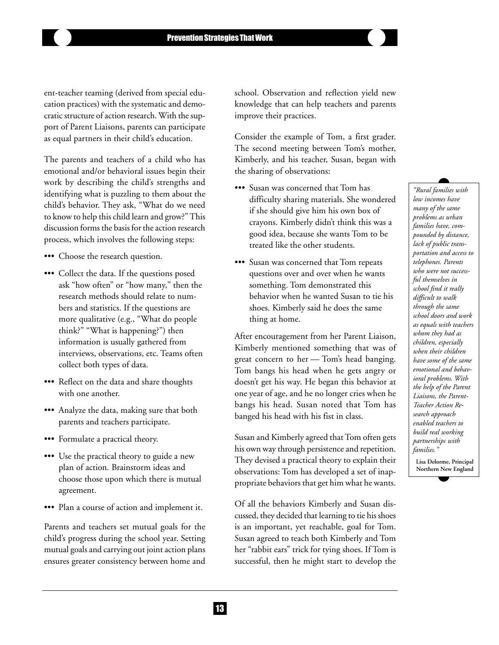ent-teacher teaming (derived from special education practices) with the systematic and democratic structure of action research. With the support of Parent Liaisons, parents can participate as equal partners in their child's education.

The parents and teachers of a child who has emotional and/or behavioral issues begin their work by describing the child's strengths and identifying what is puzzling to them about the child's behavior. They ask, "What do we need to know to help this child learn and grow?" This discussion forms the basis for the action research process, which involves the following steps:

- ••• Choose the research question.
- ••• Collect the data. If the questions posed ask "how often" or "how many," then the research methods should relate to numbers and statistics. If the questions are more qualitative (e.g., "What do people think?" "What is happening?") then information is usually gathered from interviews, observations, etc. Teams often collect both types of data.
- ••• Reflect on the data and share thoughts with one another.
- ••• Analyze the data, making sure that both parents and teachers participate.
- ••• Formulate a practical theory.
- ••• Use the practical theory to guide a new plan of action. Brainstorm ideas and choose those upon which there is mutual agreement.
- ••• Plan a course of action and implement it.

Parents and teachers set mutual goals for the child's progress during the school year. Setting mutual goals and carrying out joint action plans ensures greater consistency between home and school. Observation and reflection yield new knowledge that can help teachers and parents improve their practices.

Consider the example of Tom, a first grader. The second meeting between Tom's mother, Kimberly, and his teacher, Susan, began with the sharing of observations:

- ••• Susan was concerned that Tom has difficulty sharing materials. She wondered if she should give him his own box of crayons. Kimberly didn't think this was a good idea, because she wants Tom to be treated like the other students.
- ••• Susan was concerned that Tom repeats questions over and over when he wants something. Tom demonstrated this behavior when he wanted Susan to tie his shoes. Kimberly said he does the same thing at home.

After encouragement from her Parent Liaison, Kimberly mentioned something that was of great concern to her — Tom's head banging. Tom bangs his head when he gets angry or doesn't get his way. He began this behavior at one year of age, and he no longer cries when he bangs his head. Susan noted that Tom has banged his head with his fist in class.

Susan and Kimberly agreed that Tom often gets his own way through persistence and repetition. They devised a practical theory to explain their observations: Tom has developed a set of inappropriate behaviors that get him what he wants.

Of all the behaviors Kimberly and Susan discussed, they decided that learning to tie his shoes is an important, yet reachable, goal for Tom. Susan agreed to teach both Kimberly and Tom her "rabbit ears" trick for tying shoes. If Tom is successful, then he might start to develop the

*"Rural families with low incomes have many of the same problems as urban families have, compounded by distance, lack of public transportation and access to telephones. Parents who were not successful themselves in school find it really difficult to walk through the same school doors and work as equals with teachers whom they had as children, especially when their children have some of the same emotional and behavioral problems. With the help of the Parent Liaisons, the Parent-Teacher Action Research approach enabled teachers to build real working partnerships with families."*

**Lisa Delorme, Principal Northern New England**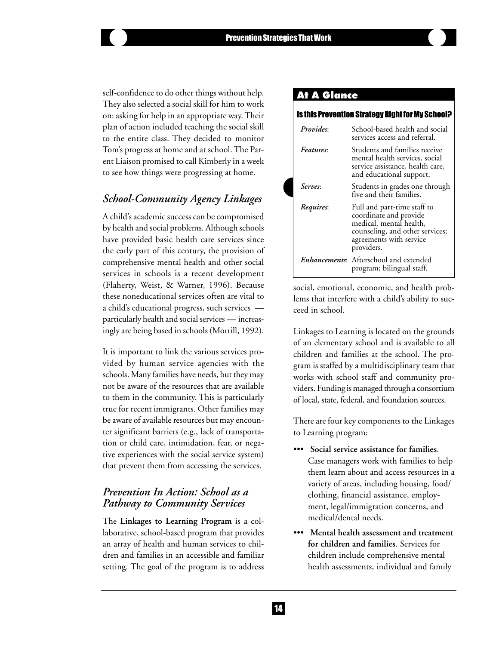self-confidence to do other things without help. They also selected a social skill for him to work on: asking for help in an appropriate way. Their plan of action included teaching the social skill to the entire class. They decided to monitor Tom's progress at home and at school. The Parent Liaison promised to call Kimberly in a week to see how things were progressing at home.

# *School-Community Agency Linkages*

A child's academic success can be compromised by health and social problems. Although schools have provided basic health care services since the early part of this century, the provision of comprehensive mental health and other social services in schools is a recent development (Flaherty, Weist, & Warner, 1996). Because these noneducational services often are vital to a child's educational progress, such services particularly health and social services — increasingly are being based in schools (Morrill, 1992).

It is important to link the various services provided by human service agencies with the schools. Many families have needs, but they may not be aware of the resources that are available to them in the community. This is particularly true for recent immigrants. Other families may be aware of available resources but may encounter significant barriers (e.g., lack of transportation or child care, intimidation, fear, or negative experiences with the social service system) that prevent them from accessing the services.

# *Prevention In Action: School as a Pathway to Community Services*

The **Linkages to Learning Program** is a collaborative, school-based program that provides an array of health and human services to children and families in an accessible and familiar setting. The goal of the program is to address

### **At A Glance**

#### Is this Prevention Strategy Right for My School?

| <i>Provides:</i> | School-based health and social<br>services access and referral.                                                                                              |
|------------------|--------------------------------------------------------------------------------------------------------------------------------------------------------------|
| Features:        | Students and families receive<br>mental health services, social<br>service assistance, health care,<br>and educational support.                              |
| Serves:          | Students in grades one through<br>five and their families.                                                                                                   |
| Requires:        | Full and part-time staff to<br>coordinate and provide<br>medical, mental health,<br>counseling, and other services;<br>agreements with service<br>providers. |
|                  | <i>Enhancements:</i> Afterschool and extended<br>program; bilingual staff.                                                                                   |

social, emotional, economic, and health problems that interfere with a child's ability to succeed in school.

Linkages to Learning is located on the grounds of an elementary school and is available to all children and families at the school. The program is staffed by a multidisciplinary team that works with school staff and community providers. Funding is managed through a consortium of local, state, federal, and foundation sources.

There are four key components to the Linkages to Learning program:

- ••• **Social service assistance for families**. Case managers work with families to help them learn about and access resources in a variety of areas, including housing, food/ clothing, financial assistance, employment, legal/immigration concerns, and medical/dental needs.
- ••• **Mental health assessment and treatment for children and families**. Services for children include comprehensive mental health assessments, individual and family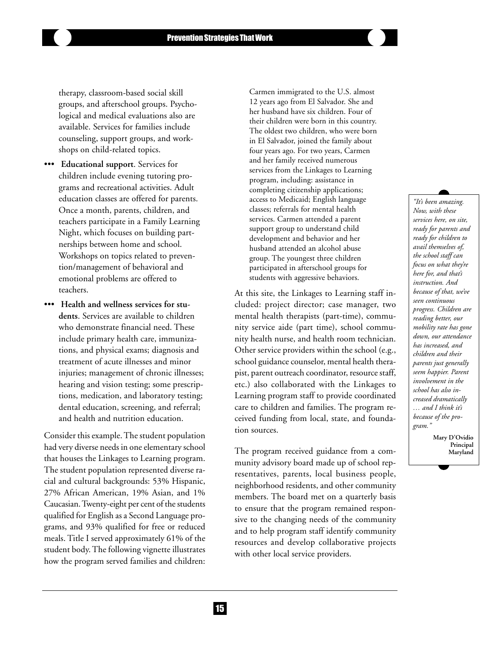therapy, classroom-based social skill groups, and afterschool groups. Psychological and medical evaluations also are available. Services for families include counseling, support groups, and workshops on child-related topics.

- ••• **Educational support**. Services for children include evening tutoring programs and recreational activities. Adult education classes are offered for parents. Once a month, parents, children, and teachers participate in a Family Learning Night, which focuses on building partnerships between home and school. Workshops on topics related to prevention/management of behavioral and emotional problems are offered to teachers.
- ••• **Health and wellness services for students**. Services are available to children who demonstrate financial need. These include primary health care, immunizations, and physical exams; diagnosis and treatment of acute illnesses and minor injuries; management of chronic illnesses; hearing and vision testing; some prescriptions, medication, and laboratory testing; dental education, screening, and referral; and health and nutrition education.

Consider this example. The student population had very diverse needs in one elementary school that houses the Linkages to Learning program. The student population represented diverse racial and cultural backgrounds: 53% Hispanic, 27% African American, 19% Asian, and 1% Caucasian. Twenty-eight per cent of the students qualified for English as a Second Language programs, and 93% qualified for free or reduced meals. Title I served approximately 61% of the student body. The following vignette illustrates how the program served families and children:

Carmen immigrated to the U.S. almost 12 years ago from El Salvador. She and her husband have six children. Four of their children were born in this country. The oldest two children, who were born in El Salvador, joined the family about four years ago. For two years, Carmen and her family received numerous services from the Linkages to Learning program, including: assistance in completing citizenship applications; access to Medicaid; English language classes; referrals for mental health services. Carmen attended a parent support group to understand child development and behavior and her husband attended an alcohol abuse group. The youngest three children participated in afterschool groups for students with aggressive behaviors.

At this site, the Linkages to Learning staff included: project director; case manager, two mental health therapists (part-time), community service aide (part time), school community health nurse, and health room technician. Other service providers within the school (e.g., school guidance counselor, mental health therapist, parent outreach coordinator, resource staff, etc.) also collaborated with the Linkages to Learning program staff to provide coordinated care to children and families. The program received funding from local, state, and foundation sources.

The program received guidance from a community advisory board made up of school representatives, parents, local business people, neighborhood residents, and other community members. The board met on a quarterly basis to ensure that the program remained responsive to the changing needs of the community and to help program staff identify community resources and develop collaborative projects with other local service providers.

*"It's been amazing. Now, with these services here, on site, ready for parents and ready for children to avail themselves of, the school staff can focus on what they're here for, and that's instruction. And because of that, we've seen continuous progress. Children are reading better, our mobility rate has gone down, our attendance has increased, and children and their parents just generally seem happier. Parent involvement in the school has also increased dramatically … and I think it's because of the program."*

> **Mary D'Ovidio Principal Maryland**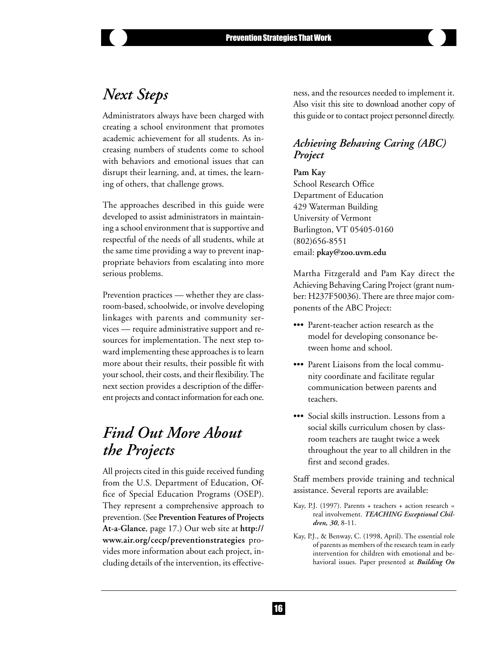# *Next Steps*

Administrators always have been charged with creating a school environment that promotes academic achievement for all students. As increasing numbers of students come to school with behaviors and emotional issues that can disrupt their learning, and, at times, the learning of others, that challenge grows.

The approaches described in this guide were developed to assist administrators in maintaining a school environment that is supportive and respectful of the needs of all students, while at the same time providing a way to prevent inappropriate behaviors from escalating into more serious problems.

Prevention practices — whether they are classroom-based, schoolwide, or involve developing linkages with parents and community services — require administrative support and resources for implementation. The next step toward implementing these approaches is to learn more about their results, their possible fit with your school, their costs, and their flexibility. The next section provides a description of the different projects and contact information for each one.

# *Find Out More About the Projects*

All projects cited in this guide received funding from the U.S. Department of Education, Office of Special Education Programs (OSEP). They represent a comprehensive approach to prevention. (See **Prevention Features of Projects At-a-Glance**, page 17.) Our web site at **http:// www.air.org/cecp/preventionstrategies** provides more information about each project, including details of the intervention, its effectiveness, and the resources needed to implement it. Also visit this site to download another copy of this guide or to contact project personnel directly.

# *Achieving Behaving Caring (ABC) Project*

#### **Pam Kay**

School Research Office Department of Education 429 Waterman Building University of Vermont Burlington, VT 05405-0160 (802)656-8551 email: **pkay@zoo.uvm.edu**

Martha Fitzgerald and Pam Kay direct the Achieving Behaving Caring Project (grant number: H237F50036). There are three major components of the ABC Project:

- ••• Parent-teacher action research as the model for developing consonance between home and school.
- ••• Parent Liaisons from the local community coordinate and facilitate regular communication between parents and teachers.
- ••• Social skills instruction. Lessons from a social skills curriculum chosen by classroom teachers are taught twice a week throughout the year to all children in the first and second grades.

Staff members provide training and technical assistance. Several reports are available:

- Kay, P.J. (1997). Parents + teachers + action research = real involvement. *TEACHING Exceptional Children, 30*, 8-11.
- Kay, P.J., & Benway, C. (1998, April). The essential role of parents as members of the research team in early intervention for children with emotional and behavioral issues. Paper presented at *Building On*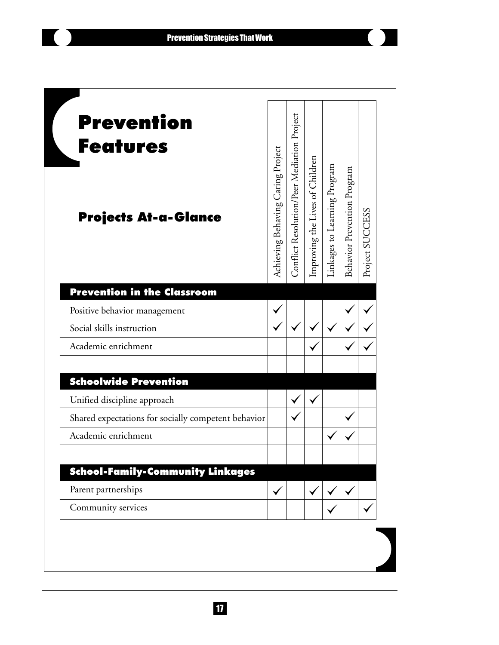$\left( \begin{array}{cc} 0 & 1 \end{array} \right)$ 

 $\blacksquare$ 

I

| <b>Prevention</b><br><b>Features</b>                |                                   |                                            |                                 |                              |                             |                 |
|-----------------------------------------------------|-----------------------------------|--------------------------------------------|---------------------------------|------------------------------|-----------------------------|-----------------|
| <b>Projects At-a-Glance</b>                         | Achieving Behaving Caring Project | Conflict Resolution/Peer Mediation Project | improving the Lives of Children | Linkages to Learning Program | Behavior Prevention Program | Project SUCCESS |
| <b>Prevention in the Classroom</b>                  |                                   |                                            |                                 |                              |                             |                 |
| Positive behavior management                        |                                   |                                            |                                 |                              |                             |                 |
| Social skills instruction                           |                                   |                                            |                                 |                              |                             |                 |
| Academic enrichment                                 |                                   |                                            |                                 |                              |                             |                 |
| <b>Schoolwide Prevention</b>                        |                                   |                                            |                                 |                              |                             |                 |
| Unified discipline approach                         |                                   |                                            |                                 |                              |                             |                 |
| Shared expectations for socially competent behavior |                                   |                                            |                                 |                              |                             |                 |
| Academic enrichment                                 |                                   |                                            |                                 |                              |                             |                 |
| <b>School-Family-Community Linkages</b>             |                                   |                                            |                                 |                              |                             |                 |
| Parent partnerships                                 |                                   |                                            |                                 |                              |                             |                 |
| Community services                                  |                                   |                                            |                                 |                              |                             |                 |

<u>17</u>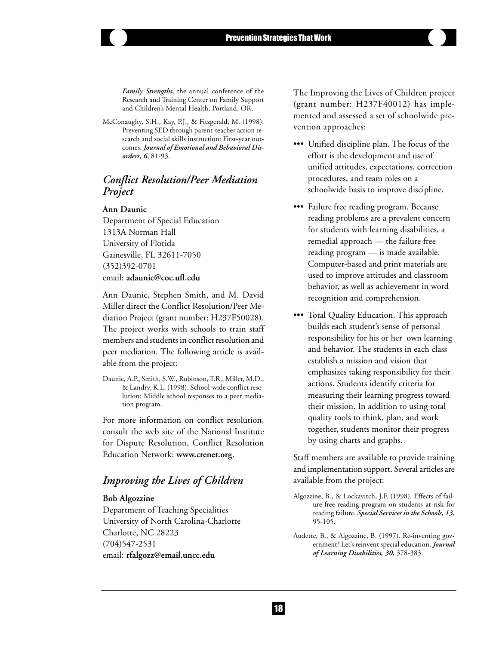*Family Strengths*, the annual conference of the Research and Training Center on Family Support and Children's Mental Health, Portland, OR.

McConaughy, S.H., Kay, P.J., & Fitzgerald, M. (1998). Preventing SED through parent-teacher action research and social skills instruction: First-year outcomes. *Journal of Emotional and Behavioral Disorders, 6*, 81-93.

### *Conflict Resolution/Peer Mediation Project*

#### **Ann Daunic**

Department of Special Education 1313A Norman Hall University of Florida Gainesville, FL 32611-7050 (352)392-0701 email: **adaunic@coe.ufl.edu**

Ann Daunic, Stephen Smith, and M. David Miller direct the Conflict Resolution/Peer Mediation Project (grant number: H237F50028). The project works with schools to train staff members and students in conflict resolution and peer mediation. The following article is available from the project:

Daunic, A.P., Smith, S.W., Robinson, T.R., Miller, M.D., & Landry, K.L. (1998). School-wide conflict resolution: Middle school responses to a peer mediation program.

For more information on conflict resolution, consult the web site of the National Institute for Dispute Resolution, Conflict Resolution Education Network: **www.crenet.org**.

# *Improving the Lives of Children*

#### **Bob Algozzine**

Department of Teaching Specialities University of North Carolina-Charlotte Charlotte, NC 28223 (704)547-2531 email: **rfalgozz@email.uncc.edu**

The Improving the Lives of Children project (grant number: H237F40012) has implemented and assessed a set of schoolwide prevention approaches:

- ••• Unified discipline plan. The focus of the effort is the development and use of unified attitudes, expectations, correction procedures, and team roles on a schoolwide basis to improve discipline.
- ••• Failure free reading program. Because reading problems are a prevalent concern for students with learning disabilities, a remedial approach — the failure free reading program — is made available. Computer-based and print materials are used to improve attitudes and classroom behavior, as well as achievement in word recognition and comprehension.
- ••• Total Quality Education. This approach builds each student's sense of personal responsibility for his or her own learning and behavior. The students in each class establish a mission and vision that emphasizes taking responsibility for their actions. Students identify criteria for measuring their learning progress toward their mission. In addition to using total quality tools to think, plan, and work together, students monitor their progress by using charts and graphs.

Staff members are available to provide training and implementation support. Several articles are available from the project:

- Algozzine, B., & Lockavitch, J.F. (1998). Effects of failure-free reading program on students at-risk for reading failure. *Special Services in the Schools, 13*, 95-105.
- Audette, B., & Algozzine, B. (1997). Re-inventing government? Let's reinvent special education. *Journal of Learning Disabilities, 30*, 378-383.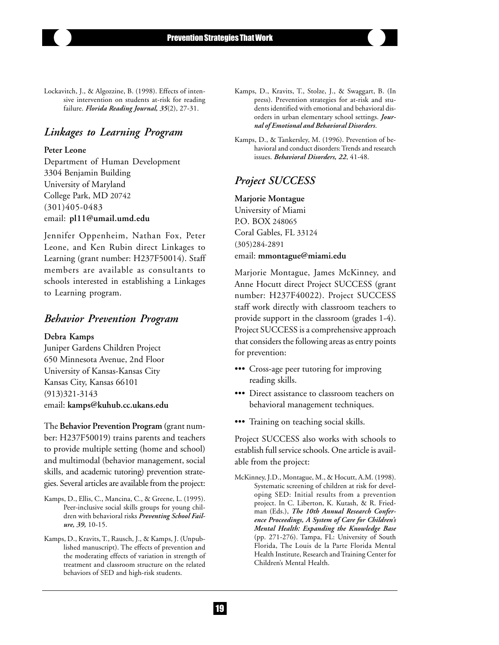Lockavitch, J., & Algozzine, B. (1998). Effects of intensive intervention on students at-risk for reading failure. *Florida Reading Journal, 35*(2), 27-31.

### *Linkages to Learning Program*

#### **Peter Leone**

Department of Human Development 3304 Benjamin Building University of Maryland College Park, MD 20742 (301)405-0483 email: **pl11@umail.umd.edu**

Jennifer Oppenheim, Nathan Fox, Peter Leone, and Ken Rubin direct Linkages to Learning (grant number: H237F50014). Staff members are available as consultants to schools interested in establishing a Linkages to Learning program.

### *Behavior Prevention Program*

#### **Debra Kamps**

Juniper Gardens Children Project 650 Minnesota Avenue, 2nd Floor University of Kansas-Kansas City Kansas City, Kansas 66101 (913)321-3143 email: **kamps@kuhub.cc.ukans.edu**

The **Behavior Prevention Program (**grant number: H237F50019) trains parents and teachers to provide multiple setting (home and school) and multimodal (behavior management, social skills, and academic tutoring) prevention strategies. Several articles are available from the project:

- Kamps, D., Ellis, C., Mancina, C., & Greene, L. (1995). Peer-inclusive social skills groups for young children with behavioral risks *Preventing School Failure, 39,* 10-15.
- Kamps, D., Kravits, T., Rausch, J., & Kamps, J. (Unpublished manuscript). The effects of prevention and the moderating effects of variation in strength of treatment and classroom structure on the related behaviors of SED and high-risk students.
- Kamps, D., Kravits, T., Stolze, J., & Swaggart, B. (In press). Prevention strategies for at-risk and students identified with emotional and behavioral disorders in urban elementary school settings. *Journal of Emotional and Behavioral Disorders*.
- Kamps, D., & Tankersley, M. (1996). Prevention of behavioral and conduct disorders: Trends and research issues. *Behavioral Disorders, 22*, 41-48.

### *Project SUCCESS*

#### **Marjorie Montague**

University of Miami P.O. BOX 248065 Coral Gables, FL 33124 (305)284-2891 email: **mmontague@miami.edu**

Marjorie Montague, James McKinney, and Anne Hocutt direct Project SUCCESS (grant number: H237F40022). Project SUCCESS staff work directly with classroom teachers to provide support in the classroom (grades 1-4). Project SUCCESS is a comprehensive approach that considers the following areas as entry points for prevention:

- ••• Cross-age peer tutoring for improving reading skills.
- ••• Direct assistance to classroom teachers on behavioral management techniques.
- ••• Training on teaching social skills.

Project SUCCESS also works with schools to establish full service schools. One article is available from the project:

McKinney, J.D., Montague, M., & Hocutt, A.M. (1998). Systematic screening of children at risk for developing SED: Initial results from a prevention project. In C. Liberton, K. Kutash, & R. Friedman (Eds.), *The 10th Annual Research Conference Proceedings, A System of Care for Children's Mental Health: Expanding the Knowledge Base* (pp. 271-276). Tampa, FL: University of South Florida, The Louis de la Parte Florida Mental Health Institute, Research and Training Center for Children's Mental Health.